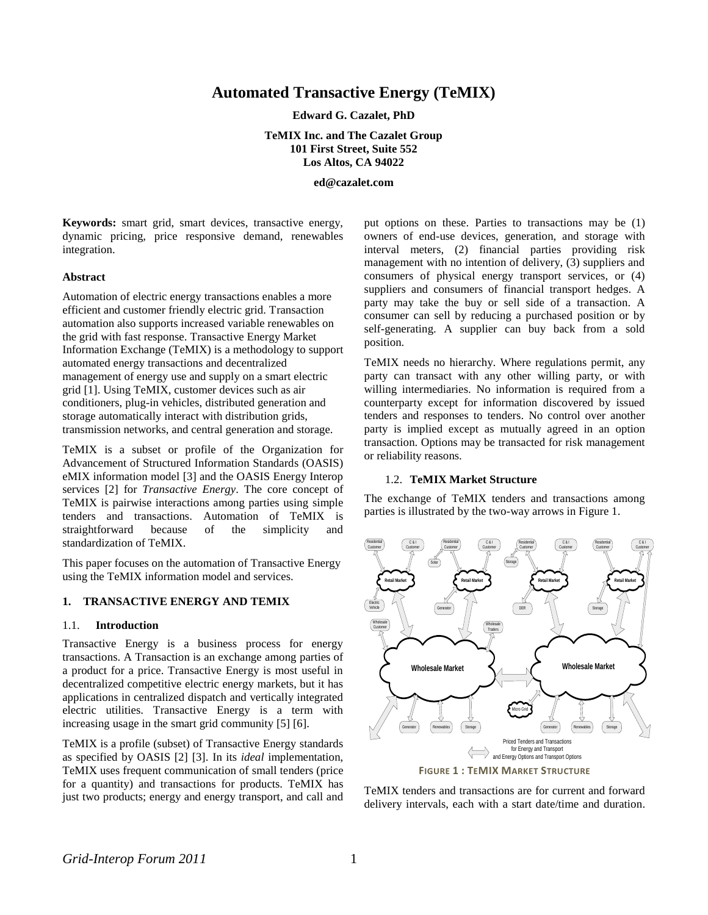# **Automated Transactive Energy (TeMIX)**

**Edward G. Cazalet, PhD**

**TeMIX Inc. and The Cazalet Group 101 First Street, Suite 552 Los Altos, CA 94022**

**ed@cazalet.com**

**Keywords:** smart grid, smart devices, transactive energy, dynamic pricing, price responsive demand, renewables integration.

#### **Abstract**

Automation of electric energy transactions enables a more efficient and customer friendly electric grid. Transaction automation also supports increased variable renewables on the grid with fast response. Transactive Energy Market Information Exchange (TeMIX) is a methodology to support automated energy transactions and decentralized management of energy use and supply on a smart electric grid [1]. Using TeMIX, customer devices such as air conditioners, plug-in vehicles, distributed generation and storage automatically interact with distribution grids, transmission networks, and central generation and storage.

TeMIX is a subset or profile of the Organization for Advancement of Structured Information Standards (OASIS) eMIX information model [3] and the OASIS Energy Interop services [2] for *Transactive Energy*. The core concept of TeMIX is pairwise interactions among parties using simple tenders and transactions. Automation of TeMIX is straightforward because of the simplicity and standardization of TeMIX.

This paper focuses on the automation of Transactive Energy using the TeMIX information model and services.

### **1. TRANSACTIVE ENERGY AND TEMIX**

#### 1.1. **Introduction**

Transactive Energy is a business process for energy transactions. A Transaction is an exchange among parties of a product for a price. Transactive Energy is most useful in decentralized competitive electric energy markets, but it has applications in centralized dispatch and vertically integrated electric utilities. Transactive Energy is a term with increasing usage in the smart grid community [5] [6].

TeMIX is a profile (subset) of Transactive Energy standards as specified by OASIS [2] [3]. In its *ideal* implementation, TeMIX uses frequent communication of small tenders (price for a quantity) and transactions for products. TeMIX has just two products; energy and energy transport, and call and put options on these. Parties to transactions may be (1) owners of end-use devices, generation, and storage with interval meters, (2) financial parties providing risk management with no intention of delivery, (3) suppliers and consumers of physical energy transport services, or (4) suppliers and consumers of financial transport hedges. A party may take the buy or sell side of a transaction. A consumer can sell by reducing a purchased position or by self-generating. A supplier can buy back from a sold position.

TeMIX needs no hierarchy. Where regulations permit, any party can transact with any other willing party, or with willing intermediaries. No information is required from a counterparty except for information discovered by issued tenders and responses to tenders. No control over another party is implied except as mutually agreed in an option transaction. Options may be transacted for risk management or reliability reasons.

### 1.2. **TeMIX Market Structure**

The exchange of TeMIX tenders and transactions among parties is illustrated by the two-way arrows in Figure 1.



TeMIX tenders and transactions are for current and forward delivery intervals, each with a start date/time and duration.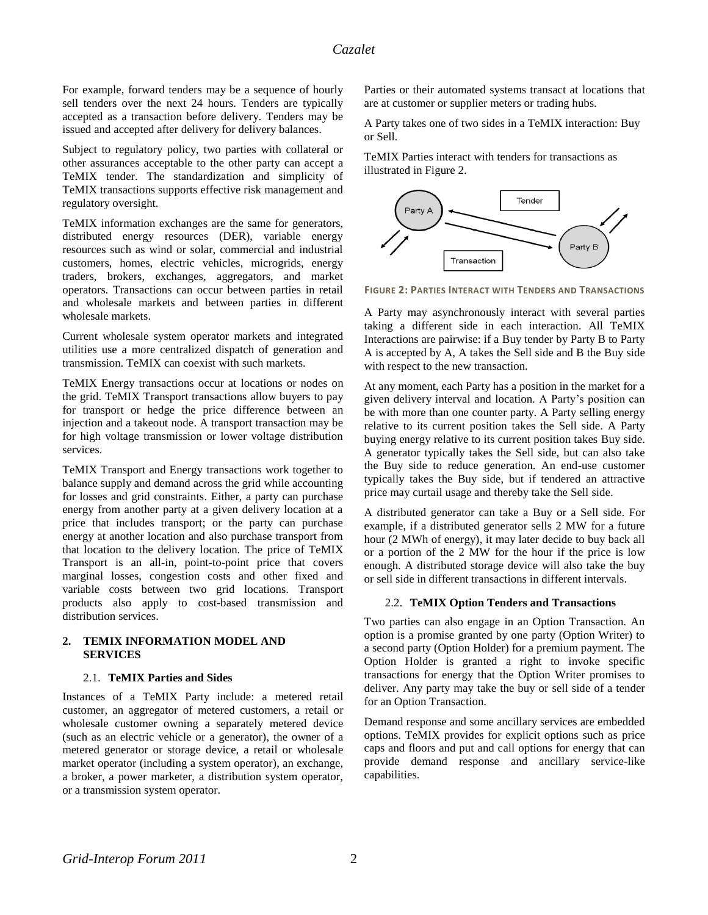For example, forward tenders may be a sequence of hourly sell tenders over the next 24 hours. Tenders are typically accepted as a transaction before delivery. Tenders may be issued and accepted after delivery for delivery balances.

Subject to regulatory policy, two parties with collateral or other assurances acceptable to the other party can accept a TeMIX tender. The standardization and simplicity of TeMIX transactions supports effective risk management and regulatory oversight.

TeMIX information exchanges are the same for generators, distributed energy resources (DER), variable energy resources such as wind or solar, commercial and industrial customers, homes, electric vehicles, microgrids, energy traders, brokers, exchanges, aggregators, and market operators. Transactions can occur between parties in retail and wholesale markets and between parties in different wholesale markets.

Current wholesale system operator markets and integrated utilities use a more centralized dispatch of generation and transmission. TeMIX can coexist with such markets.

TeMIX Energy transactions occur at locations or nodes on the grid. TeMIX Transport transactions allow buyers to pay for transport or hedge the price difference between an injection and a takeout node. A transport transaction may be for high voltage transmission or lower voltage distribution services.

TeMIX Transport and Energy transactions work together to balance supply and demand across the grid while accounting for losses and grid constraints. Either, a party can purchase energy from another party at a given delivery location at a price that includes transport; or the party can purchase energy at another location and also purchase transport from that location to the delivery location. The price of TeMIX Transport is an all-in, point-to-point price that covers marginal losses, congestion costs and other fixed and variable costs between two grid locations. Transport products also apply to cost-based transmission and distribution services.

### **2. TEMIX INFORMATION MODEL AND SERVICES**

### 2.1. **TeMIX Parties and Sides**

Instances of a TeMIX Party include: a metered retail customer, an aggregator of metered customers, a retail or wholesale customer owning a separately metered device (such as an electric vehicle or a generator), the owner of a metered generator or storage device, a retail or wholesale market operator (including a system operator), an exchange, a broker, a power marketer, a distribution system operator, or a transmission system operator.

Parties or their automated systems transact at locations that are at customer or supplier meters or trading hubs.

A Party takes one of two sides in a TeMIX interaction: Buy or Sell.

TeMIX Parties interact with tenders for transactions as illustrated in Figure 2.



**FIGURE 2: PARTIES INTERACT WITH TENDERS AND TRANSACTIONS** 

A Party may asynchronously interact with several parties taking a different side in each interaction. All TeMIX Interactions are pairwise: if a Buy tender by Party B to Party A is accepted by A, A takes the Sell side and B the Buy side with respect to the new transaction.

At any moment, each Party has a position in the market for a given delivery interval and location. A Party's position can be with more than one counter party. A Party selling energy relative to its current position takes the Sell side. A Party buying energy relative to its current position takes Buy side. A generator typically takes the Sell side, but can also take the Buy side to reduce generation. An end-use customer typically takes the Buy side, but if tendered an attractive price may curtail usage and thereby take the Sell side.

A distributed generator can take a Buy or a Sell side. For example, if a distributed generator sells 2 MW for a future hour (2 MWh of energy), it may later decide to buy back all or a portion of the 2 MW for the hour if the price is low enough. A distributed storage device will also take the buy or sell side in different transactions in different intervals.

### 2.2. **TeMIX Option Tenders and Transactions**

Two parties can also engage in an Option Transaction. An option is a promise granted by one party (Option Writer) to a second party (Option Holder) for a premium payment. The Option Holder is granted a right to invoke specific transactions for energy that the Option Writer promises to deliver. Any party may take the buy or sell side of a tender for an Option Transaction.

Demand response and some ancillary services are embedded options. TeMIX provides for explicit options such as price caps and floors and put and call options for energy that can provide demand response and ancillary service-like capabilities.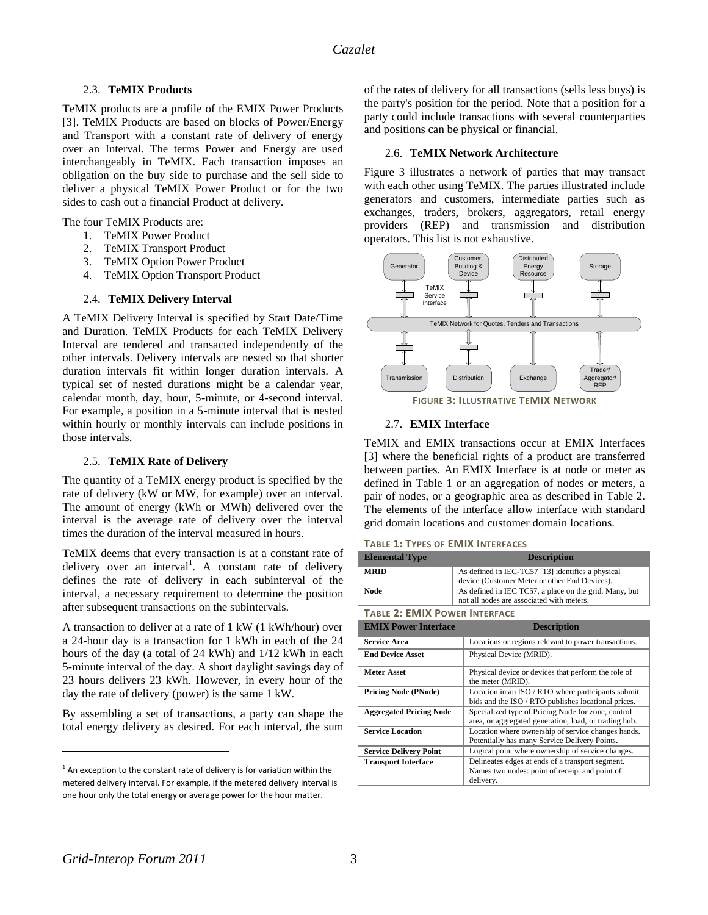# 2.3. **TeMIX Products**

TeMIX products are a profile of the EMIX Power Products [3]. TeMIX Products are based on blocks of Power/Energy and Transport with a constant rate of delivery of energy over an Interval. The terms Power and Energy are used interchangeably in TeMIX. Each transaction imposes an obligation on the buy side to purchase and the sell side to deliver a physical TeMIX Power Product or for the two sides to cash out a financial Product at delivery.

The four TeMIX Products are:

- 1. TeMIX Power Product
- 2. TeMIX Transport Product
- 3. TeMIX Option Power Product
- 4. TeMIX Option Transport Product

### 2.4. **TeMIX Delivery Interval**

A TeMIX Delivery Interval is specified by Start Date/Time and Duration. TeMIX Products for each TeMIX Delivery Interval are tendered and transacted independently of the other intervals. Delivery intervals are nested so that shorter duration intervals fit within longer duration intervals. A typical set of nested durations might be a calendar year, calendar month, day, hour, 5-minute, or 4-second interval. For example, a position in a 5-minute interval that is nested within hourly or monthly intervals can include positions in those intervals.

### 2.5. **TeMIX Rate of Delivery**

The quantity of a TeMIX energy product is specified by the rate of delivery (kW or MW, for example) over an interval. The amount of energy (kWh or MWh) delivered over the interval is the average rate of delivery over the interval times the duration of the interval measured in hours.

TeMIX deems that every transaction is at a constant rate of delivery over an interval<sup>1</sup>. A constant rate of delivery defines the rate of delivery in each subinterval of the interval, a necessary requirement to determine the position after subsequent transactions on the subintervals.

A transaction to deliver at a rate of 1 kW (1 kWh/hour) over a 24-hour day is a transaction for 1 kWh in each of the 24 hours of the day (a total of 24 kWh) and 1/12 kWh in each 5-minute interval of the day. A short daylight savings day of 23 hours delivers 23 kWh. However, in every hour of the day the rate of delivery (power) is the same 1 kW.

By assembling a set of transactions, a party can shape the total energy delivery as desired. For each interval, the sum of the rates of delivery for all transactions (sells less buys) is the party's position for the period. Note that a position for a party could include transactions with several counterparties and positions can be physical or financial.

### 2.6. **TeMIX Network Architecture**

Figure 3 illustrates a network of parties that may transact with each other using TeMIX. The parties illustrated include generators and customers, intermediate parties such as exchanges, traders, brokers, aggregators, retail energy providers (REP) and transmission and distribution operators. This list is not exhaustive.



### 2.7. **EMIX Interface**

TeMIX and EMIX transactions occur at EMIX Interfaces [3] where the beneficial rights of a product are transferred between parties. An EMIX Interface is at node or meter as defined in Table 1 or an aggregation of nodes or meters, a pair of nodes, or a geographic area as described in Table 2. The elements of the interface allow interface with standard grid domain locations and customer domain locations.

### **TABLE 1: TYPES OF EMIX INTERFACES**

| <b>Elemental Type</b> | <b>Description</b>                                                                                  |
|-----------------------|-----------------------------------------------------------------------------------------------------|
| <b>MRID</b>           | As defined in IEC-TC57 [13] identifies a physical<br>device (Customer Meter or other End Devices).  |
| Node                  | As defined in IEC TC57, a place on the grid. Many, but<br>not all nodes are associated with meters. |

### **TABLE 2: EMIX POWER INTERFACE**

| <b>EMIX Power Interface</b>    | <b>Description</b>                                                                                          |
|--------------------------------|-------------------------------------------------------------------------------------------------------------|
| <b>Service Area</b>            | Locations or regions relevant to power transactions.                                                        |
| <b>End Device Asset</b>        | Physical Device (MRID).                                                                                     |
| <b>Meter Asset</b>             | Physical device or devices that perform the role of<br>the meter (MRID).                                    |
| <b>Pricing Node (PNode)</b>    | Location in an ISO / RTO where participants submit<br>bids and the ISO / RTO publishes locational prices.   |
| <b>Aggregated Pricing Node</b> | Specialized type of Pricing Node for zone, control<br>area, or aggregated generation, load, or trading hub. |
| <b>Service Location</b>        | Location where ownership of service changes hands.<br>Potentially has many Service Delivery Points.         |
| <b>Service Delivery Point</b>  | Logical point where ownership of service changes.                                                           |
| <b>Transport Interface</b>     | Delineates edges at ends of a transport segment.                                                            |
|                                | Names two nodes: point of receipt and point of                                                              |
|                                | delivery.                                                                                                   |

 $\overline{a}$ 

 $1$  An exception to the constant rate of delivery is for variation within the metered delivery interval. For example, if the metered delivery interval is one hour only the total energy or average power for the hour matter.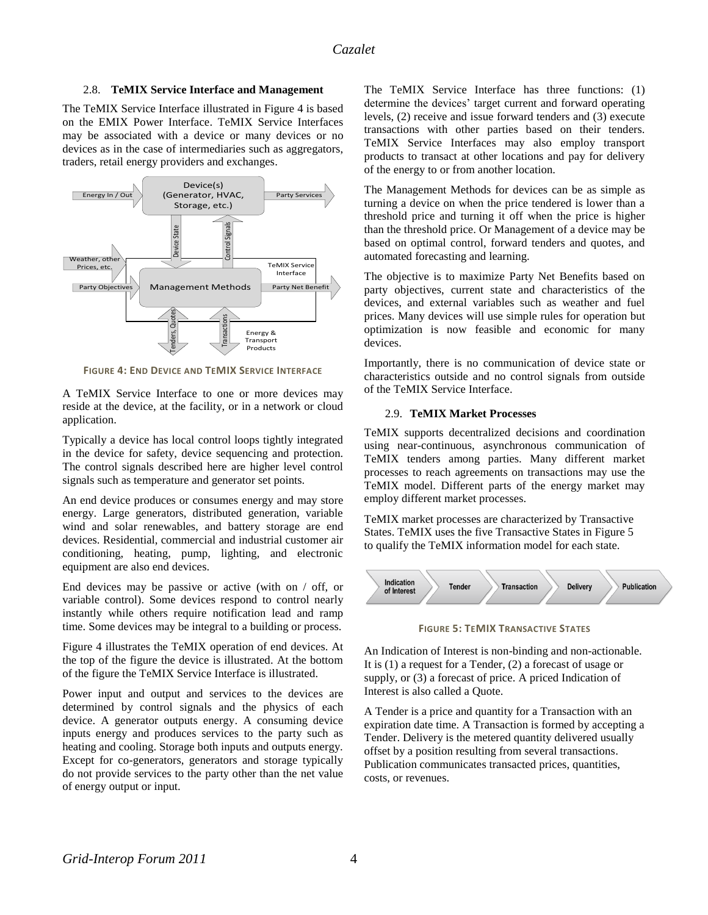### 2.8. **TeMIX Service Interface and Management**

The TeMIX Service Interface illustrated in Figure 4 is based on the EMIX Power Interface. TeMIX Service Interfaces may be associated with a device or many devices or no devices as in the case of intermediaries such as aggregators, traders, retail energy providers and exchanges.



**FIGURE 4: END DEVICE AND TEMIX SERVICE INTERFACE** 

A TeMIX Service Interface to one or more devices may reside at the device, at the facility, or in a network or cloud application.

Typically a device has local control loops tightly integrated in the device for safety, device sequencing and protection. The control signals described here are higher level control signals such as temperature and generator set points.

An end device produces or consumes energy and may store energy. Large generators, distributed generation, variable wind and solar renewables, and battery storage are end devices. Residential, commercial and industrial customer air conditioning, heating, pump, lighting, and electronic equipment are also end devices.

End devices may be passive or active (with on / off, or variable control). Some devices respond to control nearly instantly while others require notification lead and ramp time. Some devices may be integral to a building or process.

Figure 4 illustrates the TeMIX operation of end devices. At the top of the figure the device is illustrated. At the bottom of the figure the TeMIX Service Interface is illustrated.

Power input and output and services to the devices are determined by control signals and the physics of each device. A generator outputs energy. A consuming device inputs energy and produces services to the party such as heating and cooling. Storage both inputs and outputs energy. Except for co-generators, generators and storage typically do not provide services to the party other than the net value of energy output or input.

The TeMIX Service Interface has three functions: (1) determine the devices' target current and forward operating levels, (2) receive and issue forward tenders and (3) execute transactions with other parties based on their tenders. TeMIX Service Interfaces may also employ transport products to transact at other locations and pay for delivery of the energy to or from another location.

The Management Methods for devices can be as simple as turning a device on when the price tendered is lower than a threshold price and turning it off when the price is higher than the threshold price. Or Management of a device may be based on optimal control, forward tenders and quotes, and automated forecasting and learning.

The objective is to maximize Party Net Benefits based on party objectives, current state and characteristics of the devices, and external variables such as weather and fuel prices. Many devices will use simple rules for operation but optimization is now feasible and economic for many devices.

Importantly, there is no communication of device state or characteristics outside and no control signals from outside of the TeMIX Service Interface.

#### 2.9. **TeMIX Market Processes**

TeMIX supports decentralized decisions and coordination using near-continuous, asynchronous communication of TeMIX tenders among parties. Many different market processes to reach agreements on transactions may use the TeMIX model. Different parts of the energy market may employ different market processes.

TeMIX market processes are characterized by Transactive States. TeMIX uses the five Transactive States in Figure 5 to qualify the TeMIX information model for each state.



**FIGURE 5: TEMIX TRANSACTIVE STATES**

An Indication of Interest is non-binding and non-actionable. It is (1) a request for a Tender, (2) a forecast of usage or supply, or (3) a forecast of price. A priced Indication of Interest is also called a Quote.

A Tender is a price and quantity for a Transaction with an expiration date time. A Transaction is formed by accepting a Tender. Delivery is the metered quantity delivered usually offset by a position resulting from several transactions. Publication communicates transacted prices, quantities, costs, or revenues.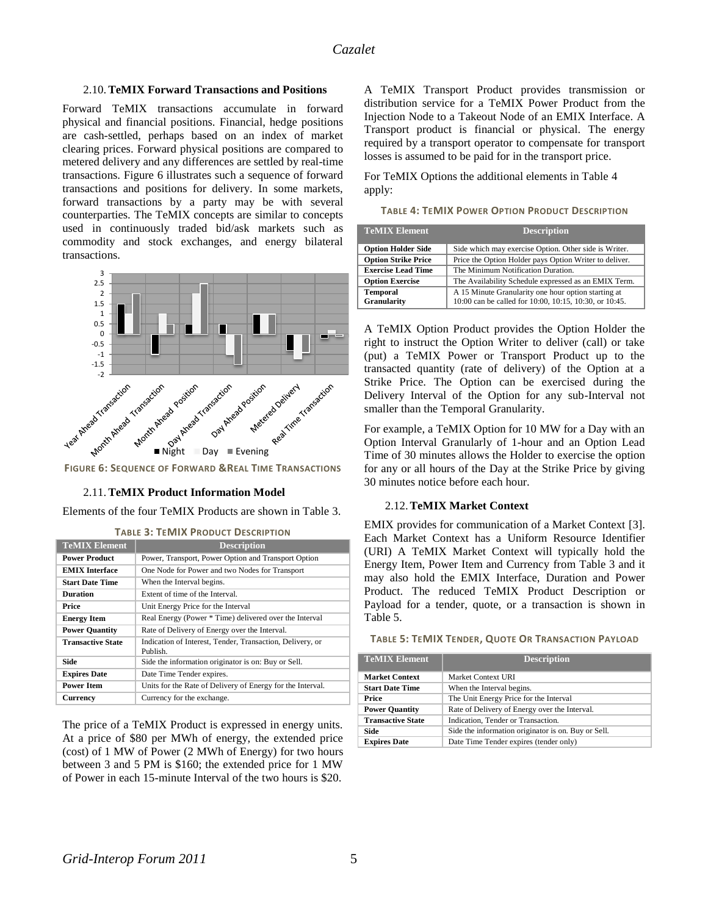### 2.10.**TeMIX Forward Transactions and Positions**

Forward TeMIX transactions accumulate in forward physical and financial positions. Financial, hedge positions are cash-settled, perhaps based on an index of market clearing prices. Forward physical positions are compared to metered delivery and any differences are settled by real-time transactions. Figure 6 illustrates such a sequence of forward transactions and positions for delivery. In some markets, forward transactions by a party may be with several counterparties. The TeMIX concepts are similar to concepts used in continuously traded bid/ask markets such as commodity and stock exchanges, and energy bilateral transactions.



**FIGURE 6: SEQUENCE OF FORWARD &REAL TIME TRANSACTIONS**

### 2.11.**TeMIX Product Information Model**

Elements of the four TeMIX Products are shown in Table 3. **TABLE 3: TEMIX PRODUCT DESCRIPTION**

| <b>TeMIX Element</b>     | <b>Description</b>                                                    |
|--------------------------|-----------------------------------------------------------------------|
| <b>Power Product</b>     | Power, Transport, Power Option and Transport Option                   |
| <b>EMIX</b> Interface    | One Node for Power and two Nodes for Transport                        |
| <b>Start Date Time</b>   | When the Interval begins.                                             |
| <b>Duration</b>          | Extent of time of the Interval.                                       |
| Price                    | Unit Energy Price for the Interval                                    |
| <b>Energy Item</b>       | Real Energy (Power * Time) delivered over the Interval                |
| <b>Power Quantity</b>    | Rate of Delivery of Energy over the Interval.                         |
| <b>Transactive State</b> | Indication of Interest, Tender, Transaction, Delivery, or<br>Publish. |
| Side                     | Side the information originator is on: Buy or Sell.                   |
| <b>Expires Date</b>      | Date Time Tender expires.                                             |
| <b>Power Item</b>        | Units for the Rate of Delivery of Energy for the Interval.            |
| Currency                 | Currency for the exchange.                                            |

The price of a TeMIX Product is expressed in energy units. At a price of \$80 per MWh of energy, the extended price (cost) of 1 MW of Power (2 MWh of Energy) for two hours between 3 and 5 PM is \$160; the extended price for 1 MW of Power in each 15-minute Interval of the two hours is \$20. A TeMIX Transport Product provides transmission or distribution service for a TeMIX Power Product from the Injection Node to a Takeout Node of an EMIX Interface. A Transport product is financial or physical. The energy required by a transport operator to compensate for transport losses is assumed to be paid for in the transport price.

For TeMIX Options the additional elements in Table 4 apply:

**TABLE 4: TEMIX POWER OPTION PRODUCT DESCRIPTION**

| <b>TeMIX Element</b>                  | <b>Description</b>                                                                                            |
|---------------------------------------|---------------------------------------------------------------------------------------------------------------|
| <b>Option Holder Side</b>             | Side which may exercise Option. Other side is Writer.                                                         |
| <b>Option Strike Price</b>            | Price the Option Holder pays Option Writer to deliver.                                                        |
| <b>Exercise Lead Time</b>             | The Minimum Notification Duration.                                                                            |
| <b>Option Exercise</b>                | The Availability Schedule expressed as an EMIX Term.                                                          |
| <b>Temporal</b><br><b>Granularity</b> | A 15 Minute Granularity one hour option starting at<br>10:00 can be called for 10:00, 10:15, 10:30, or 10:45. |

A TeMIX Option Product provides the Option Holder the right to instruct the Option Writer to deliver (call) or take (put) a TeMIX Power or Transport Product up to the transacted quantity (rate of delivery) of the Option at a Strike Price. The Option can be exercised during the Delivery Interval of the Option for any sub-Interval not smaller than the Temporal Granularity.

For example, a TeMIX Option for 10 MW for a Day with an Option Interval Granularly of 1-hour and an Option Lead Time of 30 minutes allows the Holder to exercise the option for any or all hours of the Day at the Strike Price by giving 30 minutes notice before each hour.

#### 2.12.**TeMIX Market Context**

EMIX provides for communication of a Market Context [3]. Each Market Context has a Uniform Resource Identifier (URI) A TeMIX Market Context will typically hold the Energy Item, Power Item and Currency from Table 3 and it may also hold the EMIX Interface, Duration and Power Product. The reduced TeMIX Product Description or Payload for a tender, quote, or a transaction is shown in Table 5.

| <b>TeMIX Element</b>     | <b>Description</b>                                  |
|--------------------------|-----------------------------------------------------|
| <b>Market Context</b>    | Market Context URI                                  |
| <b>Start Date Time</b>   | When the Interval begins.                           |
| Price                    | The Unit Energy Price for the Interval              |
| <b>Power Quantity</b>    | Rate of Delivery of Energy over the Interval.       |
| <b>Transactive State</b> | Indication, Tender or Transaction.                  |
| Side                     | Side the information originator is on. Buy or Sell. |
| <b>Expires Date</b>      | Date Time Tender expires (tender only)              |

#### **TABLE 5: TEMIX TENDER, QUOTE OR TRANSACTION PAYLOAD**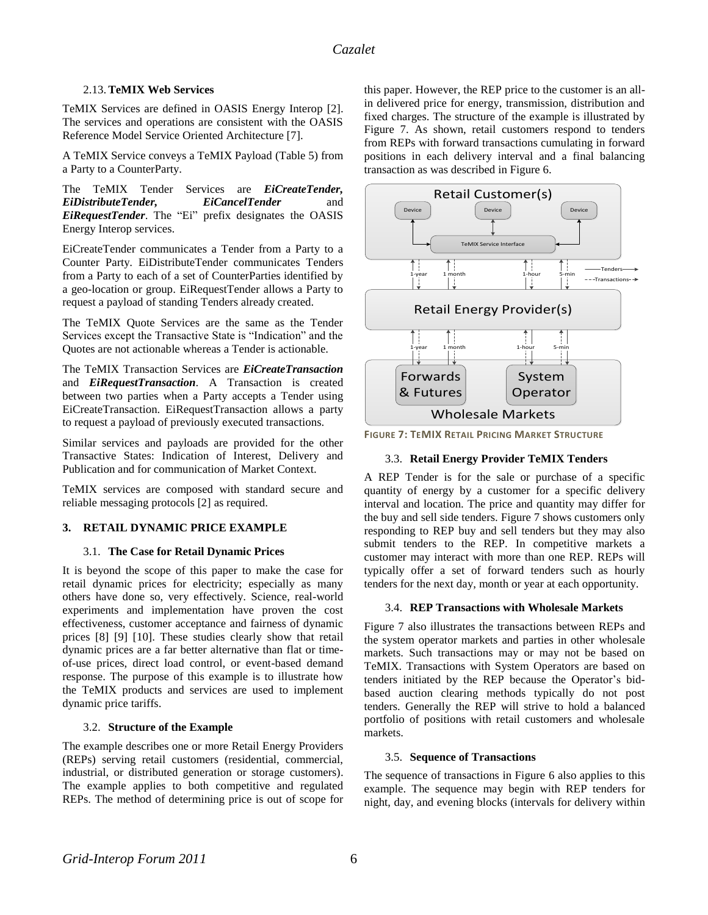# 2.13.**TeMIX Web Services**

TeMIX Services are defined in OASIS Energy Interop [2]. The services and operations are consistent with the OASIS Reference Model Service Oriented Architecture [7].

A TeMIX Service conveys a TeMIX Payload (Table 5) from a Party to a CounterParty.

The TeMIX Tender Services are *EiCreateTender, EiDistributeTender, EiCancelTender* and *EiRequestTender*. The "Ei" prefix designates the OASIS Energy Interop services.

EiCreateTender communicates a Tender from a Party to a Counter Party. EiDistributeTender communicates Tenders from a Party to each of a set of CounterParties identified by a geo-location or group. EiRequestTender allows a Party to request a payload of standing Tenders already created.

The TeMIX Quote Services are the same as the Tender Services except the Transactive State is "Indication" and the Quotes are not actionable whereas a Tender is actionable.

The TeMIX Transaction Services are *EiCreateTransaction*  and *EiRequestTransaction*. A Transaction is created between two parties when a Party accepts a Tender using EiCreateTransaction. EiRequestTransaction allows a party to request a payload of previously executed transactions.

Similar services and payloads are provided for the other Transactive States: Indication of Interest, Delivery and Publication and for communication of Market Context.

TeMIX services are composed with standard secure and reliable messaging protocols [2] as required.

# **3. RETAIL DYNAMIC PRICE EXAMPLE**

# 3.1. **The Case for Retail Dynamic Prices**

It is beyond the scope of this paper to make the case for retail dynamic prices for electricity; especially as many others have done so, very effectively. Science, real-world experiments and implementation have proven the cost effectiveness, customer acceptance and fairness of dynamic prices [8] [9] [10]. These studies clearly show that retail dynamic prices are a far better alternative than flat or timeof-use prices, direct load control, or event-based demand response. The purpose of this example is to illustrate how the TeMIX products and services are used to implement dynamic price tariffs.

# 3.2. **Structure of the Example**

The example describes one or more Retail Energy Providers (REPs) serving retail customers (residential, commercial, industrial, or distributed generation or storage customers). The example applies to both competitive and regulated REPs. The method of determining price is out of scope for this paper. However, the REP price to the customer is an allin delivered price for energy, transmission, distribution and fixed charges. The structure of the example is illustrated by Figure 7. As shown, retail customers respond to tenders from REPs with forward transactions cumulating in forward positions in each delivery interval and a final balancing transaction as was described in Figure 6.





# 3.3. **Retail Energy Provider TeMIX Tenders**

A REP Tender is for the sale or purchase of a specific quantity of energy by a customer for a specific delivery interval and location. The price and quantity may differ for the buy and sell side tenders. Figure 7 shows customers only responding to REP buy and sell tenders but they may also submit tenders to the REP. In competitive markets a customer may interact with more than one REP. REPs will typically offer a set of forward tenders such as hourly tenders for the next day, month or year at each opportunity.

### 3.4. **REP Transactions with Wholesale Markets**

Figure 7 also illustrates the transactions between REPs and the system operator markets and parties in other wholesale markets. Such transactions may or may not be based on TeMIX. Transactions with System Operators are based on tenders initiated by the REP because the Operator's bidbased auction clearing methods typically do not post tenders. Generally the REP will strive to hold a balanced portfolio of positions with retail customers and wholesale markets.

# 3.5. **Sequence of Transactions**

The sequence of transactions in Figure 6 also applies to this example. The sequence may begin with REP tenders for night, day, and evening blocks (intervals for delivery within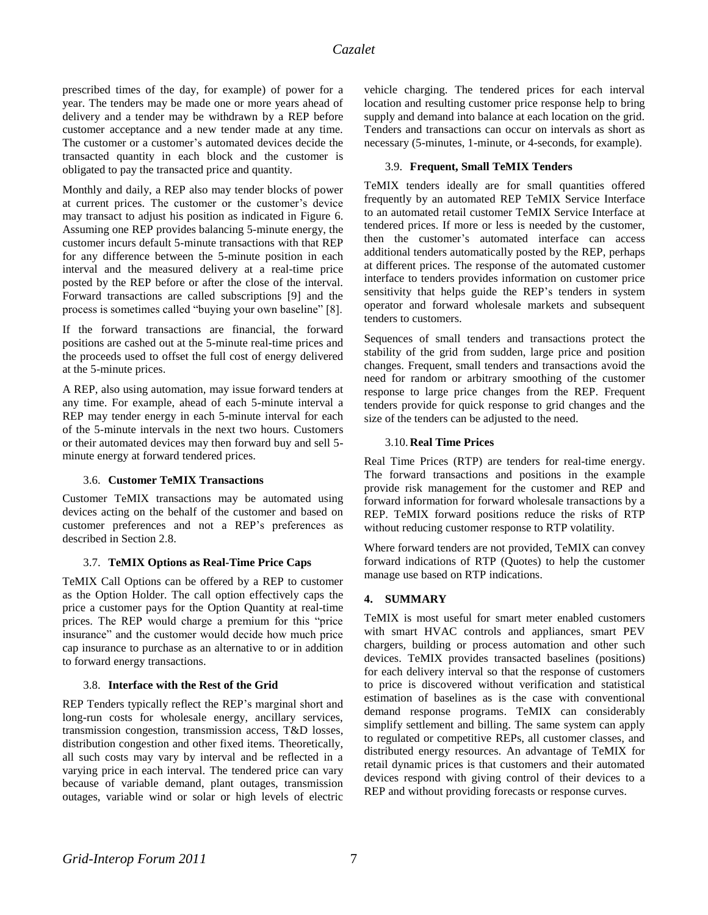prescribed times of the day, for example) of power for a year. The tenders may be made one or more years ahead of delivery and a tender may be withdrawn by a REP before customer acceptance and a new tender made at any time. The customer or a customer's automated devices decide the transacted quantity in each block and the customer is obligated to pay the transacted price and quantity.

Monthly and daily, a REP also may tender blocks of power at current prices. The customer or the customer's device may transact to adjust his position as indicated in Figure 6. Assuming one REP provides balancing 5-minute energy, the customer incurs default 5-minute transactions with that REP for any difference between the 5-minute position in each interval and the measured delivery at a real-time price posted by the REP before or after the close of the interval. Forward transactions are called subscriptions [9] and the process is sometimes called "buying your own baseline" [8].

If the forward transactions are financial, the forward positions are cashed out at the 5-minute real-time prices and the proceeds used to offset the full cost of energy delivered at the 5-minute prices.

A REP, also using automation, may issue forward tenders at any time. For example, ahead of each 5-minute interval a REP may tender energy in each 5-minute interval for each of the 5-minute intervals in the next two hours. Customers or their automated devices may then forward buy and sell 5 minute energy at forward tendered prices.

# 3.6. **Customer TeMIX Transactions**

Customer TeMIX transactions may be automated using devices acting on the behalf of the customer and based on customer preferences and not a REP's preferences as described in Section 2.8.

# 3.7. **TeMIX Options as Real-Time Price Caps**

TeMIX Call Options can be offered by a REP to customer as the Option Holder. The call option effectively caps the price a customer pays for the Option Quantity at real-time prices. The REP would charge a premium for this "price insurance" and the customer would decide how much price cap insurance to purchase as an alternative to or in addition to forward energy transactions.

### 3.8. **Interface with the Rest of the Grid**

REP Tenders typically reflect the REP's marginal short and long-run costs for wholesale energy, ancillary services, transmission congestion, transmission access, T&D losses, distribution congestion and other fixed items. Theoretically, all such costs may vary by interval and be reflected in a varying price in each interval. The tendered price can vary because of variable demand, plant outages, transmission outages, variable wind or solar or high levels of electric vehicle charging. The tendered prices for each interval location and resulting customer price response help to bring supply and demand into balance at each location on the grid. Tenders and transactions can occur on intervals as short as necessary (5-minutes, 1-minute, or 4-seconds, for example).

### 3.9. **Frequent, Small TeMIX Tenders**

TeMIX tenders ideally are for small quantities offered frequently by an automated REP TeMIX Service Interface to an automated retail customer TeMIX Service Interface at tendered prices. If more or less is needed by the customer, then the customer's automated interface can access additional tenders automatically posted by the REP, perhaps at different prices. The response of the automated customer interface to tenders provides information on customer price sensitivity that helps guide the REP's tenders in system operator and forward wholesale markets and subsequent tenders to customers.

Sequences of small tenders and transactions protect the stability of the grid from sudden, large price and position changes. Frequent, small tenders and transactions avoid the need for random or arbitrary smoothing of the customer response to large price changes from the REP. Frequent tenders provide for quick response to grid changes and the size of the tenders can be adjusted to the need.

### 3.10. **Real Time Prices**

Real Time Prices (RTP) are tenders for real-time energy. The forward transactions and positions in the example provide risk management for the customer and REP and forward information for forward wholesale transactions by a REP. TeMIX forward positions reduce the risks of RTP without reducing customer response to RTP volatility.

Where forward tenders are not provided, TeMIX can convey forward indications of RTP (Quotes) to help the customer manage use based on RTP indications.

# **4. SUMMARY**

TeMIX is most useful for smart meter enabled customers with smart HVAC controls and appliances, smart PEV chargers, building or process automation and other such devices. TeMIX provides transacted baselines (positions) for each delivery interval so that the response of customers to price is discovered without verification and statistical estimation of baselines as is the case with conventional demand response programs. TeMIX can considerably simplify settlement and billing. The same system can apply to regulated or competitive REPs, all customer classes, and distributed energy resources. An advantage of TeMIX for retail dynamic prices is that customers and their automated devices respond with giving control of their devices to a REP and without providing forecasts or response curves.